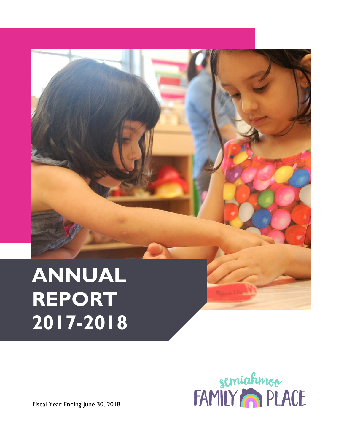# **ANNUAL REPORT 2017-2018**



Fiscal Year Ending June 30, 2018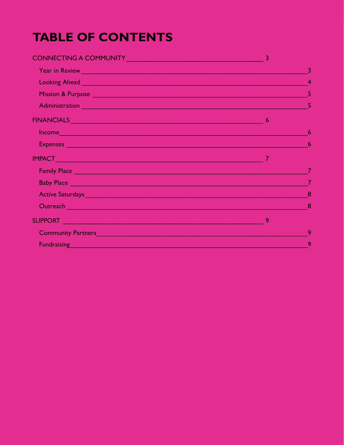### **TABLE OF CONTENTS**

| CONNECTING A COMMUNITY 3                                                                                                                                                                                                             |   |                         |
|--------------------------------------------------------------------------------------------------------------------------------------------------------------------------------------------------------------------------------------|---|-------------------------|
|                                                                                                                                                                                                                                      |   | $\overline{\mathbf{3}}$ |
| Looking Ahead <b>Commission Commission Commission</b> Contract of the Commission Commission Commission                                                                                                                               |   |                         |
|                                                                                                                                                                                                                                      |   |                         |
|                                                                                                                                                                                                                                      |   |                         |
|                                                                                                                                                                                                                                      |   |                         |
| Income and the contract of the contract of the contract of the contract of the contract of the contract of the                                                                                                                       |   | 6                       |
|                                                                                                                                                                                                                                      |   |                         |
|                                                                                                                                                                                                                                      |   |                         |
| Family Place <b>Executive Contract of the Contract of Contract Contract of Contract Contract Contract of Contract Contract On the Contract On the Contract On the Contract On the Contract On the Contract On the Contract On th</b> |   |                         |
| Baby Place <u>Parameters and the contract of the contract of the contract of the contract of the contract of the contract of the contract of the contract of the contract of the contract of the contract of the contract of the</u> |   |                         |
| Active Saturdays <b>Active Saturdays Active Saturday Active Saturday and Active Saturdays</b>                                                                                                                                        |   |                         |
|                                                                                                                                                                                                                                      |   |                         |
|                                                                                                                                                                                                                                      | 9 |                         |
| Community Partners <b>Executive Community Partners</b>                                                                                                                                                                               |   | 9                       |
| Fundraising <b>Contract of the Contract of the Contract of the Contract of the Contract of the Contract of the Contract of the Contract of the Contract of the Contract of the Contract of the Contract of the Contract of the C</b> |   | 9                       |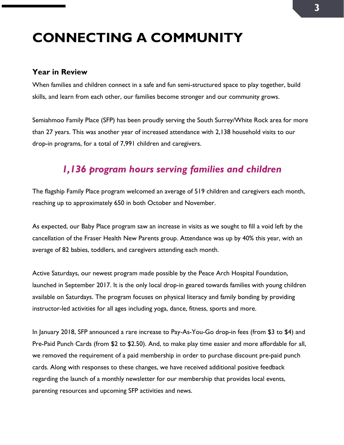## <span id="page-2-0"></span>**CONNECTING A COMMUNITY**

#### <span id="page-2-1"></span>**Year in Review**

When families and children connect in a safe and fun semi-structured space to play together, build skills, and learn from each other, our families become stronger and our community grows.

Semiahmoo Family Place (SFP) has been proudly serving the South Surrey/White Rock area for more than 27 years. This was another year of increased attendance with 2,138 household visits to our drop-in programs, for a total of 7,991 children and caregivers.

#### *1,136 program hours serving families and children*

The flagship Family Place program welcomed an average of 519 children and caregivers each month, reaching up to approximately 650 in both October and November.

As expected, our Baby Place program saw an increase in visits as we sought to fill a void left by the cancellation of the Fraser Health New Parents group. Attendance was up by 40% this year, with an average of 82 babies, toddlers, and caregivers attending each month.

Active Saturdays, our newest program made possible by the Peace Arch Hospital Foundation, launched in September 2017. It is the only local drop-in geared towards families with young children available on Saturdays. The program focuses on physical literacy and family bonding by providing instructor-led activities for all ages including yoga, dance, fitness, sports and more.

In January 2018, SFP announced a rare increase to Pay-As-You-Go drop-in fees (from \$3 to \$4) and Pre-Paid Punch Cards (from \$2 to \$2.50). And, to make play time easier and more affordable for all, we removed the requirement of a paid membership in order to purchase discount pre-paid punch cards. Along with responses to these changes, we have received additional positive feedback regarding the launch of a monthly newsletter for our membership that provides local events, parenting resources and upcoming SFP activities and news.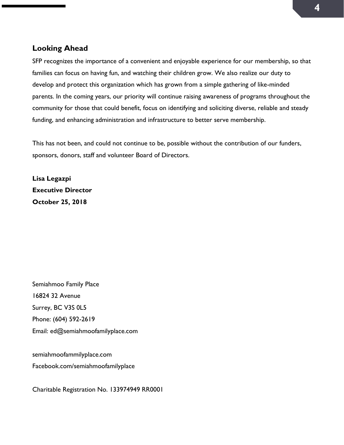#### <span id="page-3-0"></span>**Looking Ahead**

SFP recognizes the importance of a convenient and enjoyable experience for our membership, so that families can focus on having fun, and watching their children grow. We also realize our duty to develop and protect this organization which has grown from a simple gathering of like-minded parents. In the coming years, our priority will continue raising awareness of programs throughout the community for those that could benefit, focus on identifying and soliciting diverse, reliable and steady funding, and enhancing administration and infrastructure to better serve membership.

This has not been, and could not continue to be, possible without the contribution of our funders, sponsors, donors, staff and volunteer Board of Directors.

**Lisa Legazpi Executive Director October 25, 2018**

Semiahmoo Family Place 16824 32 Avenue Surrey, BC V3S 0L5 Phone: (604) 592-2619 Email: ed@semiahmoofamilyplace.com

semiahmoofammilyplace.com Facebook.com/semiahmoofamilyplace

Charitable Registration No. 133974949 RR0001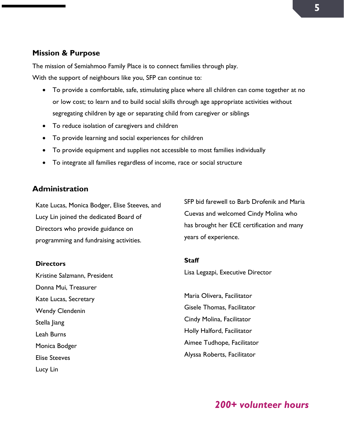#### <span id="page-4-0"></span>**Mission & Purpose**

The mission of Semiahmoo Family Place is to connect families through play.

With the support of neighbours like you, SFP can continue to:

- To provide a comfortable, safe, stimulating place where all children can come together at no or low cost; to learn and to build social skills through age appropriate activities without segregating children by age or separating child from caregiver or siblings
- To reduce isolation of caregivers and children
- To provide learning and social experiences for children
- To provide equipment and supplies not accessible to most families individually
- To integrate all families regardless of income, race or social structure

#### <span id="page-4-1"></span>**Administration**

Kate Lucas, Monica Bodger, Elise Steeves, and Lucy Lin joined the dedicated Board of Directors who provide guidance on programming and fundraising activities.

#### **Directors**

Kristine Salzmann, President Donna Mui, Treasurer Kate Lucas, Secretary Wendy Clendenin Stella Jiang Leah Burns Monica Bodger Elise Steeves Lucy Lin

SFP bid farewell to Barb Drofenik and Maria Cuevas and welcomed Cindy Molina who has brought her ECE certification and many years of experience.

#### **Staff**

Lisa Legazpi, Executive Director

Maria Olivera, Facilitator Gisele Thomas, Facilitator Cindy Molina, Facilitator Holly Halford, Facilitator Aimee Tudhope, Facilitator Alyssa Roberts, Facilitator

*200+ volunteer hours*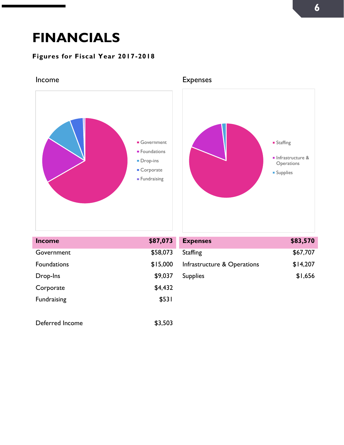### <span id="page-5-0"></span>**FINANCIALS**

#### **Figures for Fiscal Year 2017-2018**



<span id="page-5-1"></span>Income **Expenses** 

<span id="page-5-2"></span>

| <b>Income</b>      | \$87,073 | <b>Expenses</b>             | \$83,570 |
|--------------------|----------|-----------------------------|----------|
| Government         | \$58,073 | Staffing                    | \$67,707 |
| <b>Foundations</b> | \$15,000 | Infrastructure & Operations | \$14,207 |
| Drop-Ins           | \$9,037  | <b>Supplies</b>             | \$1,656  |
| Corporate          | \$4,432  |                             |          |
| <b>Fundraising</b> | \$531    |                             |          |
|                    |          |                             |          |
| Deferred Income    | \$3,503  |                             |          |

| <b>Expenses</b>             | \$83,570 |
|-----------------------------|----------|
| <b>Staffing</b>             | \$67,707 |
| Infrastructure & Operations | \$14,207 |
| <b>Supplies</b>             | \$1,656  |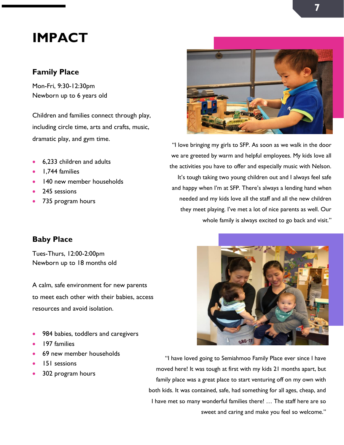### <span id="page-6-0"></span>**IMPACT**

#### <span id="page-6-1"></span>**Family Place**

Mon-Fri, 9:30-12:30pm Newborn up to 6 years old

Children and families connect through play, including circle time, arts and crafts, music, dramatic play, and gym time.

- 6,233 children and adults
- 1,744 families
- 140 new member households
- 245 sessions
- 735 program hours

#### <span id="page-6-2"></span>**Baby Place**

Tues-Thurs, 12:00-2:00pm Newborn up to 18 months old

A calm, safe environment for new parents to meet each other with their babies, access resources and avoid isolation.

- 984 babies, toddlers and caregivers
- 197 families
- 69 new member households
- 151 sessions
- 302 program hours



"I love bringing my girls to SFP. As soon as we walk in the door we are greeted by warm and helpful employees. My kids love all the activities you have to offer and especially music with Nelson. It's tough taking two young children out and I always feel safe and happy when I'm at SFP. There's always a lending hand when needed and my kids love all the staff and all the new children they meet playing. I've met a lot of nice parents as well. Our whole family is always excited to go back and visit."



"I have loved going to Semiahmoo Family Place ever since I have moved here! It was tough at first with my kids 21 months apart, but family place was a great place to start venturing off on my own with both kids. It was contained, safe, had something for all ages, cheap, and I have met so many wonderful families there! … The staff here are so sweet and caring and make you feel so welcome."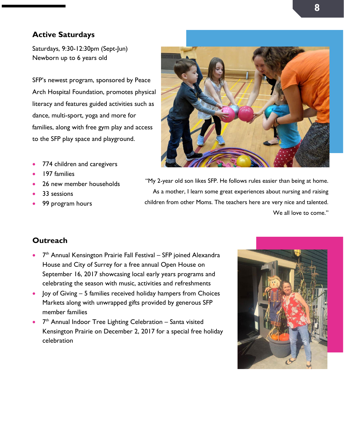#### <span id="page-7-0"></span>**Active Saturdays**

Saturdays, 9:30-12:30pm (Sept-Jun) Newborn up to 6 years old

SFP's newest program, sponsored by Peace Arch Hospital Foundation, promotes physical literacy and features guided activities such as dance, multi-sport, yoga and more for families, along with free gym play and access to the SFP play space and playground.

- 774 children and caregivers
- 197 families
- 26 new member households
- 33 sessions
- 99 program hours



"My 2-year old son likes SFP. He follows rules easier than being at home. As a mother, I learn some great experiences about nursing and raising children from other Moms. The teachers here are very nice and talented. We all love to come."

#### <span id="page-7-1"></span>**Outreach**

- $\bullet$   $7<sup>th</sup>$  Annual Kensington Prairie Fall Festival SFP joined Alexandra House and City of Surrey for a free annual Open House on September 16, 2017 showcasing local early years programs and celebrating the season with music, activities and refreshments
- Joy of Giving 5 families received holiday hampers from Choices Markets along with unwrapped gifts provided by generous SFP member families
- $\bullet$   $7<sup>th</sup>$  Annual Indoor Tree Lighting Celebration Santa visited Kensington Prairie on December 2, 2017 for a special free holiday celebration